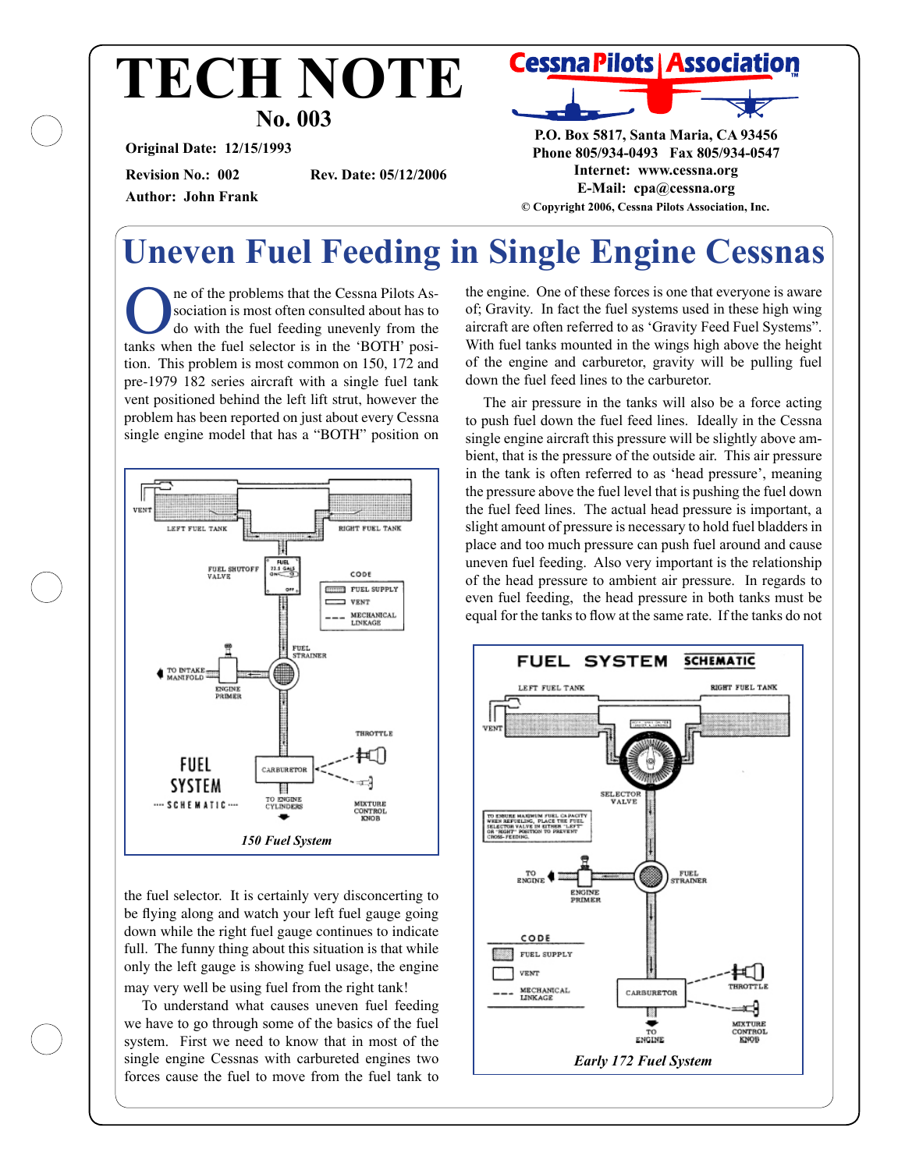### **No. 003 TECH NOTE**

**Original Date: 12/15/1993**

**Author: John Frank**

**Revision No.: 002 Rev. Date: 05/12/2006**



**P.O. Box 5817, Santa Maria, CA 93456 Phone 805/934-0493 Fax 805/934-0547 Internet: www.cessna.org E-Mail: cpa@cessna.org © Copyright 2006, Cessna Pilots Association, Inc.**

### **Uneven Fuel Feeding in Single Engine Cessnas**

ne of the problems that the Cessna Pilots Association is most often consulted about has to do with the fuel feeding unevenly from the tanks when the fuel selector is in the 'BOTH' position. This problem is most common on 150, 172 and pre-1979 182 series aircraft with a single fuel tank vent positioned behind the left lift strut, however the problem has been reported on just about every Cessna single engine model that has a "BOTH" position on



the fuel selector. It is certainly very disconcerting to be flying along and watch your left fuel gauge going down while the right fuel gauge continues to indicate full. The funny thing about this situation is that while only the left gauge is showing fuel usage, the engine may very well be using fuel from the right tank!

To understand what causes uneven fuel feeding we have to go through some of the basics of the fuel system. First we need to know that in most of the single engine Cessnas with carbureted engines two forces cause the fuel to move from the fuel tank to

the engine. One of these forces is one that everyone is aware of; Gravity. In fact the fuel systems used in these high wing aircraft are often referred to as 'Gravity Feed Fuel Systems". With fuel tanks mounted in the wings high above the height of the engine and carburetor, gravity will be pulling fuel down the fuel feed lines to the carburetor.

The air pressure in the tanks will also be a force acting to push fuel down the fuel feed lines. Ideally in the Cessna single engine aircraft this pressure will be slightly above ambient, that is the pressure of the outside air. This air pressure in the tank is often referred to as 'head pressure', meaning the pressure above the fuel level that is pushing the fuel down the fuel feed lines. The actual head pressure is important, a slight amount of pressure is necessary to hold fuel bladders in place and too much pressure can push fuel around and cause uneven fuel feeding. Also very important is the relationship of the head pressure to ambient air pressure. In regards to even fuel feeding, the head pressure in both tanks must be equal for the tanks to flow at the same rate. If the tanks do not

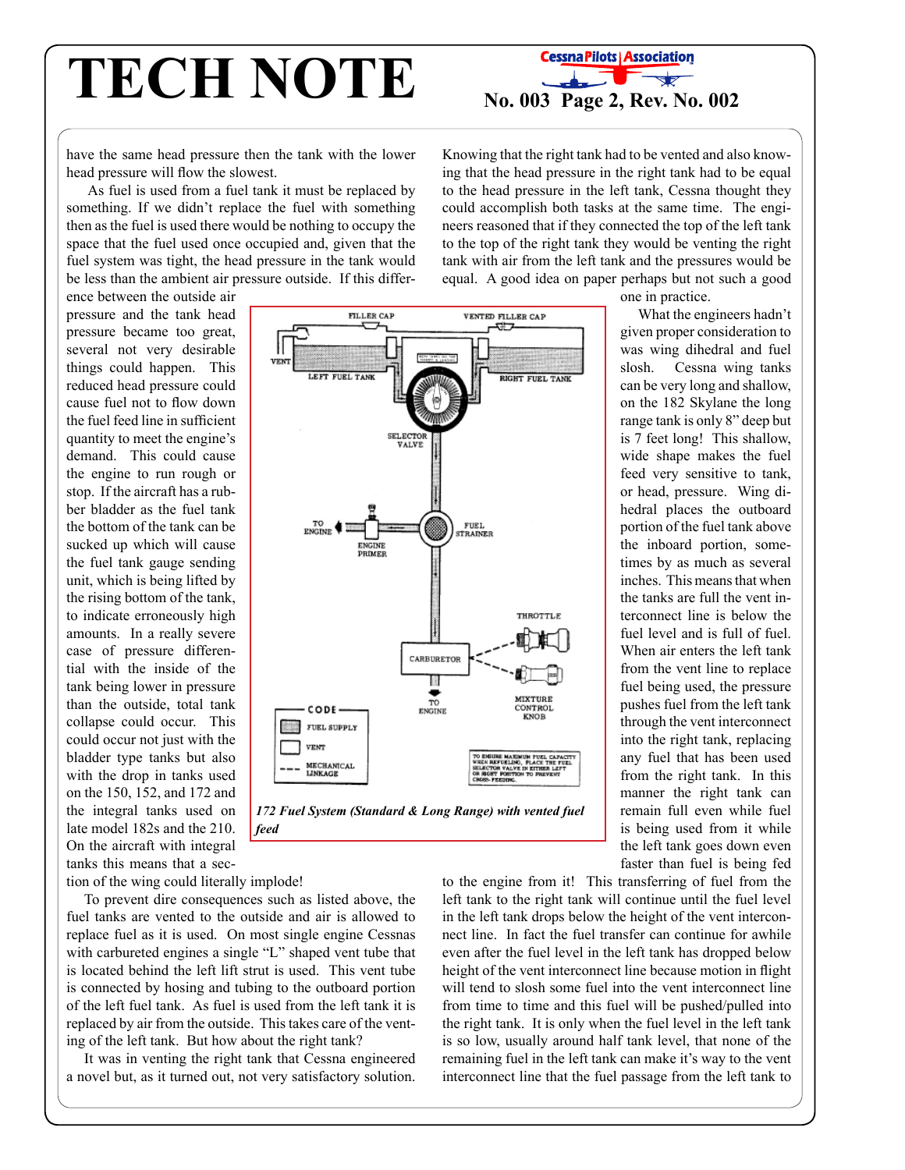# **TECH NOTE NOTE NOTE NOTE NOTE NOTE NOTE NOTE NOTE NOTE NOTE NOTE NOTE NOTE NOTE NOTE NOTE NOTE NOTE NOTE NOTE NOTE NOTE NOTE NOTE NOTE NOTE NOTE NOTE NOTE NOTE**



have the same head pressure then the tank with the lower head pressure will flow the slowest.

 As fuel is used from a fuel tank it must be replaced by something. If we didn't replace the fuel with something then as the fuel is used there would be nothing to occupy the space that the fuel used once occupied and, given that the fuel system was tight, the head pressure in the tank would be less than the ambient air pressure outside. If this differ-

Knowing that the right tank had to be vented and also knowing that the head pressure in the right tank had to be equal to the head pressure in the left tank, Cessna thought they could accomplish both tasks at the same time. The engineers reasoned that if they connected the top of the left tank to the top of the right tank they would be venting the right tank with air from the left tank and the pressures would be equal. A good idea on paper perhaps but not such a good

ence between the outside air pressure and the tank head pressure became too great, several not very desirable things could happen. This reduced head pressure could cause fuel not to flow down the fuel feed line in sufficient quantity to meet the engine's demand. This could cause the engine to run rough or stop. If the aircraft has a rubber bladder as the fuel tank the bottom of the tank can be sucked up which will cause the fuel tank gauge sending unit, which is being lifted by the rising bottom of the tank, to indicate erroneously high amounts. In a really severe case of pressure differential with the inside of the tank being lower in pressure than the outside, total tank collapse could occur. This could occur not just with the bladder type tanks but also with the drop in tanks used on the 150, 152, and 172 and the integral tanks used on late model 182s and the 210. On the aircraft with integral tanks this means that a sec-

**FILLER CAP VENTED FILLER CAP** LEFT FUEL TANK **NGHT FUEL TANK** SELECTOR<br>VALVE **TO 4 FUEL<br>STRAINER** ENGINE<br>PRIMEI **THROTTLE** CARBURETOR Π  $\overrightarrow{r_0}$ **IIXTURE** CODE CONTROL **KNOB** FUEL SUPPLY VENT E MAXIMUM PUEL CAPA<br>URI UNI DE LOS THE VI **MECHANICAL**<br>LINKAGE



tion of the wing could literally implode!

To prevent dire consequences such as listed above, the fuel tanks are vented to the outside and air is allowed to replace fuel as it is used. On most single engine Cessnas with carbureted engines a single "L" shaped vent tube that is located behind the left lift strut is used. This vent tube is connected by hosing and tubing to the outboard portion of the left fuel tank. As fuel is used from the left tank it is replaced by air from the outside. This takes care of the venting of the left tank. But how about the right tank?

It was in venting the right tank that Cessna engineered a novel but, as it turned out, not very satisfactory solution.

one in practice. What the engineers hadn't given proper consideration to was wing dihedral and fuel slosh. Cessna wing tanks can be very long and shallow, on the 182 Skylane the long range tank is only 8" deep but is 7 feet long! This shallow, wide shape makes the fuel feed very sensitive to tank, or head, pressure. Wing dihedral places the outboard portion of the fuel tank above the inboard portion, sometimes by as much as several

> inches. This means that when the tanks are full the vent interconnect line is below the fuel level and is full of fuel. When air enters the left tank from the vent line to replace fuel being used, the pressure pushes fuel from the left tank through the vent interconnect into the right tank, replacing any fuel that has been used from the right tank. In this manner the right tank can remain full even while fuel is being used from it while the left tank goes down even faster than fuel is being fed

to the engine from it! This transferring of fuel from the left tank to the right tank will continue until the fuel level in the left tank drops below the height of the vent interconnect line. In fact the fuel transfer can continue for awhile even after the fuel level in the left tank has dropped below height of the vent interconnect line because motion in flight will tend to slosh some fuel into the vent interconnect line from time to time and this fuel will be pushed/pulled into the right tank. It is only when the fuel level in the left tank is so low, usually around half tank level, that none of the remaining fuel in the left tank can make it's way to the vent interconnect line that the fuel passage from the left tank to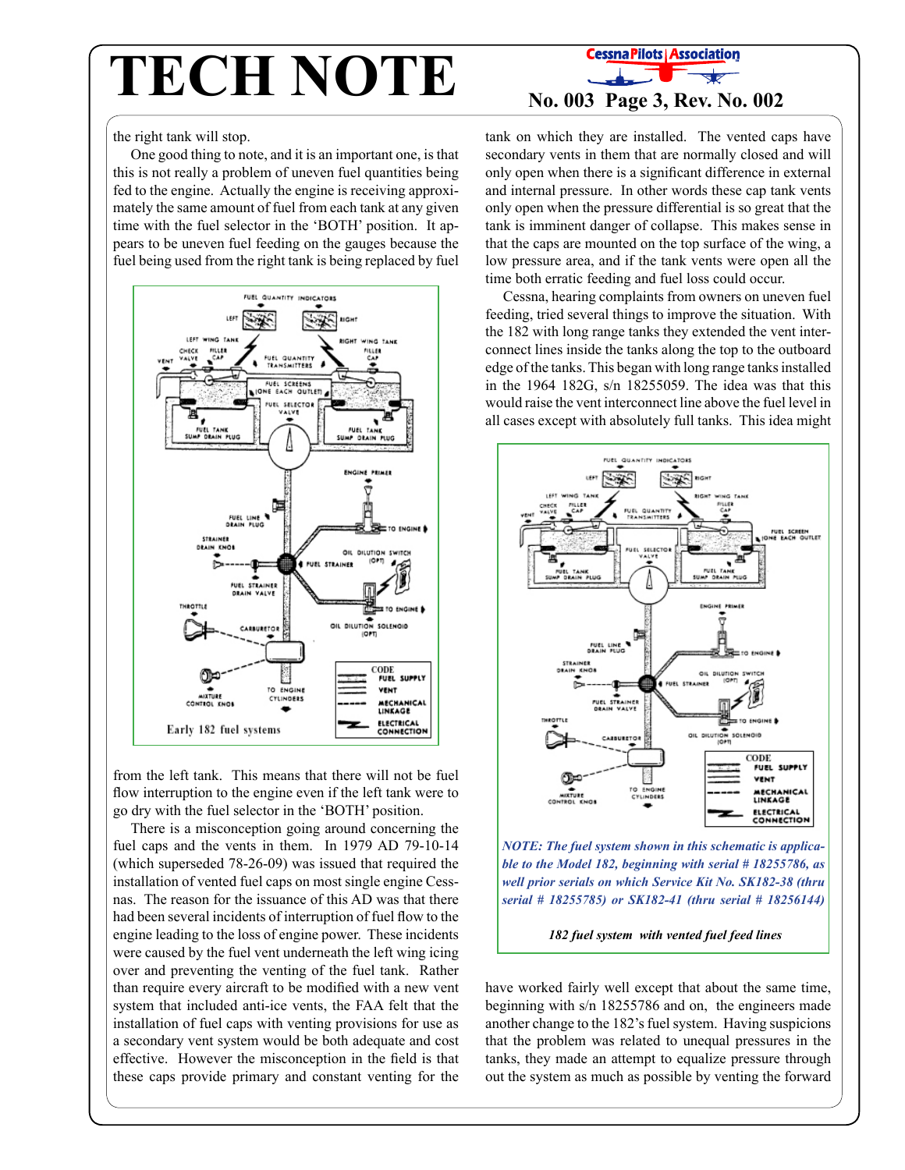## **TECH NOTE No. 003 Page 3, Rev. No. 002**

the right tank will stop.

One good thing to note, and it is an important one, is that this is not really a problem of uneven fuel quantities being fed to the engine. Actually the engine is receiving approximately the same amount of fuel from each tank at any given time with the fuel selector in the 'BOTH' position. It appears to be uneven fuel feeding on the gauges because the fuel being used from the right tank is being replaced by fuel



from the left tank. This means that there will not be fuel flow interruption to the engine even if the left tank were to go dry with the fuel selector in the 'BOTH' position.

There is a misconception going around concerning the fuel caps and the vents in them. In 1979 AD 79-10-14 (which superseded 78-26-09) was issued that required the installation of vented fuel caps on most single engine Cessnas. The reason for the issuance of this AD was that there had been several incidents of interruption of fuel flow to the engine leading to the loss of engine power. These incidents were caused by the fuel vent underneath the left wing icing over and preventing the venting of the fuel tank. Rather than require every aircraft to be modified with a new vent system that included anti-ice vents, the FAA felt that the installation of fuel caps with venting provisions for use as a secondary vent system would be both adequate and cost effective. However the misconception in the field is that these caps provide primary and constant venting for the

tank on which they are installed. The vented caps have secondary vents in them that are normally closed and will only open when there is a significant difference in external and internal pressure. In other words these cap tank vents only open when the pressure differential is so great that the tank is imminent danger of collapse. This makes sense in that the caps are mounted on the top surface of the wing, a low pressure area, and if the tank vents were open all the time both erratic feeding and fuel loss could occur.

Cessna, hearing complaints from owners on uneven fuel feeding, tried several things to improve the situation. With the 182 with long range tanks they extended the vent interconnect lines inside the tanks along the top to the outboard edge of the tanks. This began with long range tanks installed in the 1964 182G, s/n 18255059. The idea was that this would raise the vent interconnect line above the fuel level in all cases except with absolutely full tanks. This idea might



*NOTE: The fuel system shown in this schematic is applicable to the Model 182, beginning with serial # 18255786, as well prior serials on which Service Kit No. SK182-38 (thru serial # 18255785) or SK182-41 (thru serial # 18256144)* 

*182 fuel system with vented fuel feed lines*

have worked fairly well except that about the same time, beginning with s/n 18255786 and on, the engineers made another change to the 182's fuel system. Having suspicions that the problem was related to unequal pressures in the tanks, they made an attempt to equalize pressure through out the system as much as possible by venting the forward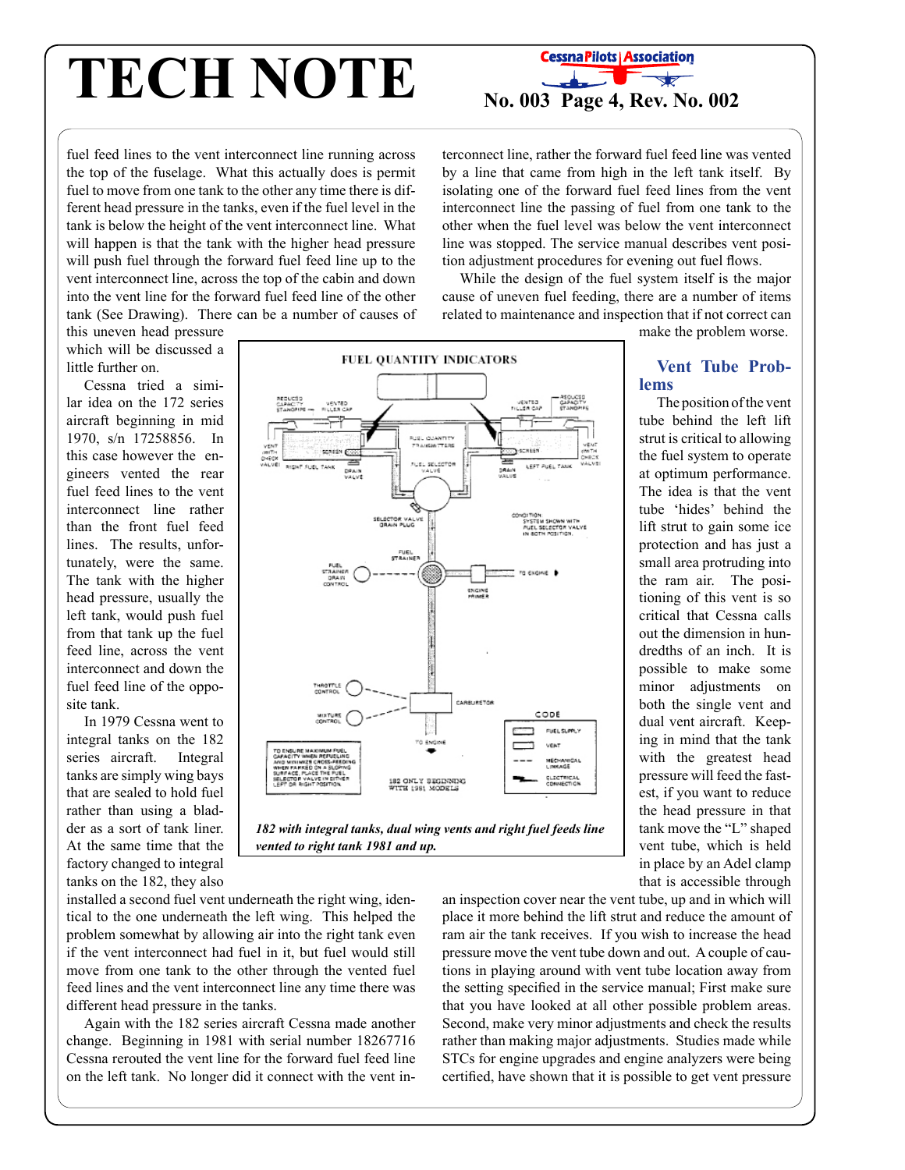# **TECH NOTE CessnaPilots Association**<br>**No. 003 Page 4, Rev. No. 002**



fuel feed lines to the vent interconnect line running across the top of the fuselage. What this actually does is permit fuel to move from one tank to the other any time there is different head pressure in the tanks, even if the fuel level in the tank is below the height of the vent interconnect line. What will happen is that the tank with the higher head pressure will push fuel through the forward fuel feed line up to the vent interconnect line, across the top of the cabin and down into the vent line for the forward fuel feed line of the other tank (See Drawing). There can be a number of causes of terconnect line, rather the forward fuel feed line was vented by a line that came from high in the left tank itself. By isolating one of the forward fuel feed lines from the vent interconnect line the passing of fuel from one tank to the other when the fuel level was below the vent interconnect line was stopped. The service manual describes vent position adjustment procedures for evening out fuel flows.

While the design of the fuel system itself is the major cause of uneven fuel feeding, there are a number of items related to maintenance and inspection that if not correct can

this uneven head pressure which will be discussed a little further on.

Cessna tried a similar idea on the 172 series aircraft beginning in mid 1970, s/n 17258856. In this case however the engineers vented the rear fuel feed lines to the vent interconnect line rather than the front fuel feed lines. The results, unfortunately, were the same. The tank with the higher head pressure, usually the left tank, would push fuel from that tank up the fuel feed line, across the vent interconnect and down the fuel feed line of the opposite tank.

In 1979 Cessna went to integral tanks on the 182 series aircraft. Integral tanks are simply wing bays that are sealed to hold fuel rather than using a bladder as a sort of tank liner. At the same time that the factory changed to integral tanks on the 182, they also





installed a second fuel vent underneath the right wing, identical to the one underneath the left wing. This helped the problem somewhat by allowing air into the right tank even if the vent interconnect had fuel in it, but fuel would still move from one tank to the other through the vented fuel feed lines and the vent interconnect line any time there was different head pressure in the tanks.

Again with the 182 series aircraft Cessna made another change. Beginning in 1981 with serial number 18267716 Cessna rerouted the vent line for the forward fuel feed line on the left tank. No longer did it connect with the vent inmake the problem worse.

#### **Vent Tube Problems**

The position of the vent tube behind the left lift strut is critical to allowing the fuel system to operate at optimum performance. The idea is that the vent tube 'hides' behind the lift strut to gain some ice protection and has just a small area protruding into the ram air. The positioning of this vent is so critical that Cessna calls out the dimension in hundredths of an inch. It is possible to make some minor adjustments on both the single vent and dual vent aircraft. Keeping in mind that the tank with the greatest head pressure will feed the fastest, if you want to reduce the head pressure in that tank move the "L" shaped vent tube, which is held in place by an Adel clamp that is accessible through

an inspection cover near the vent tube, up and in which will place it more behind the lift strut and reduce the amount of ram air the tank receives. If you wish to increase the head pressure move the vent tube down and out. A couple of cautions in playing around with vent tube location away from the setting specified in the service manual; First make sure that you have looked at all other possible problem areas. Second, make very minor adjustments and check the results rather than making major adjustments. Studies made while STCs for engine upgrades and engine analyzers were being certified, have shown that it is possible to get vent pressure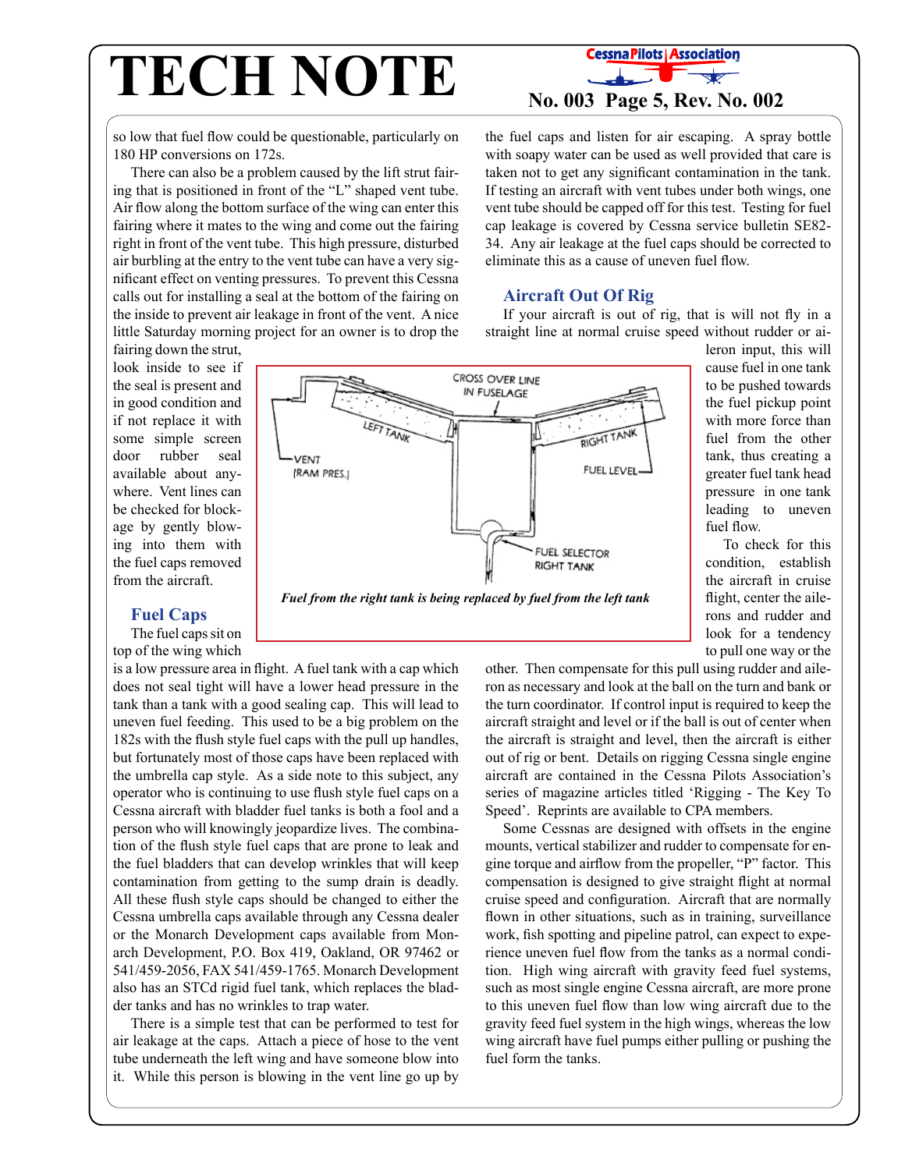# **TECH NOTE No. 003 Page 5, Rev. No. 002**

so low that fuel flow could be questionable, particularly on 180 HP conversions on 172s.

There can also be a problem caused by the lift strut fairing that is positioned in front of the "L" shaped vent tube. Air flow along the bottom surface of the wing can enter this fairing where it mates to the wing and come out the fairing right in front of the vent tube. This high pressure, disturbed air burbling at the entry to the vent tube can have a very significant effect on venting pressures. To prevent this Cessna calls out for installing a seal at the bottom of the fairing on the inside to prevent air leakage in front of the vent. A nice little Saturday morning project for an owner is to drop the

fairing down the strut, look inside to see if the seal is present and in good condition and if not replace it with some simple screen door rubber seal available about anywhere. Vent lines can be checked for blockage by gently blowing into them with the fuel caps removed from the aircraft.

**Fuel Caps**

The fuel caps sit on top of the wing which

is a low pressure area in flight. A fuel tank with a cap which does not seal tight will have a lower head pressure in the tank than a tank with a good sealing cap. This will lead to uneven fuel feeding. This used to be a big problem on the 182s with the flush style fuel caps with the pull up handles, but fortunately most of those caps have been replaced with the umbrella cap style. As a side note to this subject, any operator who is continuing to use flush style fuel caps on a Cessna aircraft with bladder fuel tanks is both a fool and a person who will knowingly jeopardize lives. The combination of the flush style fuel caps that are prone to leak and the fuel bladders that can develop wrinkles that will keep contamination from getting to the sump drain is deadly. All these flush style caps should be changed to either the Cessna umbrella caps available through any Cessna dealer or the Monarch Development caps available from Monarch Development, P.O. Box 419, Oakland, OR 97462 or 541/459-2056, FAX 541/459-1765. Monarch Development also has an STCd rigid fuel tank, which replaces the bladder tanks and has no wrinkles to trap water.

There is a simple test that can be performed to test for air leakage at the caps. Attach a piece of hose to the vent tube underneath the left wing and have someone blow into it. While this person is blowing in the vent line go up by

#### the fuel caps and listen for air escaping. A spray bottle with soapy water can be used as well provided that care is taken not to get any significant contamination in the tank. If testing an aircraft with vent tubes under both wings, one vent tube should be capped off for this test. Testing for fuel cap leakage is covered by Cessna service bulletin SE82- 34. Any air leakage at the fuel caps should be corrected to

### **Aircraft Out Of Rig**

eliminate this as a cause of uneven fuel flow.

If your aircraft is out of rig, that is will not fly in a straight line at normal cruise speed without rudder or ai-



*Fuel from the right tank is being replaced by fuel from the left tank*

leron input, this will cause fuel in one tank to be pushed towards the fuel pickup point with more force than fuel from the other tank, thus creating a greater fuel tank head pressure in one tank leading to uneven fuel flow.

To check for this condition, establish the aircraft in cruise flight, center the ailerons and rudder and look for a tendency to pull one way or the

other. Then compensate for this pull using rudder and aileron as necessary and look at the ball on the turn and bank or the turn coordinator. If control input is required to keep the aircraft straight and level or if the ball is out of center when the aircraft is straight and level, then the aircraft is either out of rig or bent. Details on rigging Cessna single engine aircraft are contained in the Cessna Pilots Association's series of magazine articles titled 'Rigging - The Key To Speed'. Reprints are available to CPA members.

Some Cessnas are designed with offsets in the engine mounts, vertical stabilizer and rudder to compensate for engine torque and airflow from the propeller, "P" factor. This compensation is designed to give straight flight at normal cruise speed and configuration. Aircraft that are normally flown in other situations, such as in training, surveillance work, fish spotting and pipeline patrol, can expect to experience uneven fuel flow from the tanks as a normal condition. High wing aircraft with gravity feed fuel systems, such as most single engine Cessna aircraft, are more prone to this uneven fuel flow than low wing aircraft due to the gravity feed fuel system in the high wings, whereas the low wing aircraft have fuel pumps either pulling or pushing the fuel form the tanks.